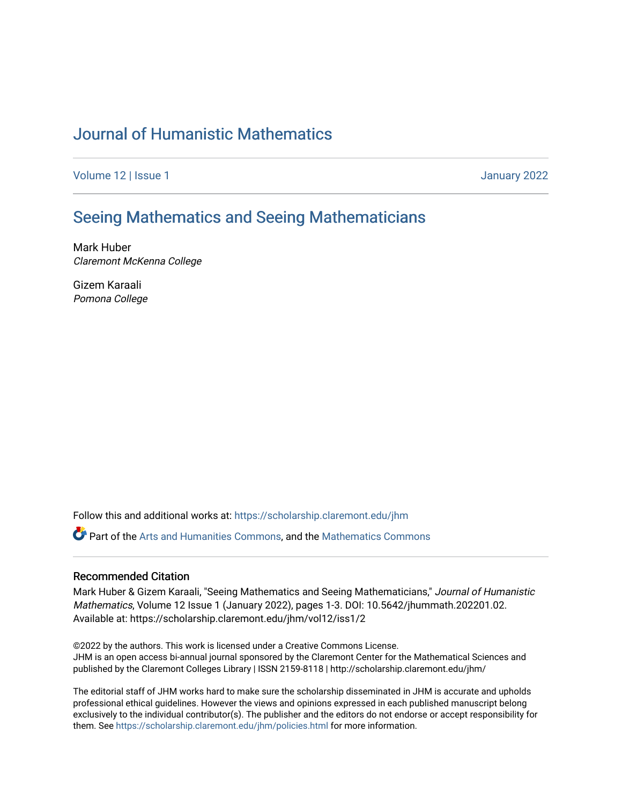## [Journal of Humanistic Mathematics](https://scholarship.claremont.edu/jhm)

[Volume 12](https://scholarship.claremont.edu/jhm/vol12) | Issue 1 January 2022

## [Seeing Mathematics and Seeing Mathematicians](https://scholarship.claremont.edu/jhm/vol12/iss1/2)

Mark Huber Claremont McKenna College

Gizem Karaali Pomona College

Follow this and additional works at: [https://scholarship.claremont.edu/jhm](https://scholarship.claremont.edu/jhm?utm_source=scholarship.claremont.edu%2Fjhm%2Fvol12%2Fiss1%2F2&utm_medium=PDF&utm_campaign=PDFCoverPages)

Part of the [Arts and Humanities Commons,](http://network.bepress.com/hgg/discipline/438?utm_source=scholarship.claremont.edu%2Fjhm%2Fvol12%2Fiss1%2F2&utm_medium=PDF&utm_campaign=PDFCoverPages) and the [Mathematics Commons](http://network.bepress.com/hgg/discipline/174?utm_source=scholarship.claremont.edu%2Fjhm%2Fvol12%2Fiss1%2F2&utm_medium=PDF&utm_campaign=PDFCoverPages) 

## Recommended Citation

Mark Huber & Gizem Karaali, "Seeing Mathematics and Seeing Mathematicians," Journal of Humanistic Mathematics, Volume 12 Issue 1 (January 2022), pages 1-3. DOI: 10.5642/jhummath.202201.02. Available at: https://scholarship.claremont.edu/jhm/vol12/iss1/2

©2022 by the authors. This work is licensed under a Creative Commons License. JHM is an open access bi-annual journal sponsored by the Claremont Center for the Mathematical Sciences and published by the Claremont Colleges Library | ISSN 2159-8118 | http://scholarship.claremont.edu/jhm/

The editorial staff of JHM works hard to make sure the scholarship disseminated in JHM is accurate and upholds professional ethical guidelines. However the views and opinions expressed in each published manuscript belong exclusively to the individual contributor(s). The publisher and the editors do not endorse or accept responsibility for them. See<https://scholarship.claremont.edu/jhm/policies.html> for more information.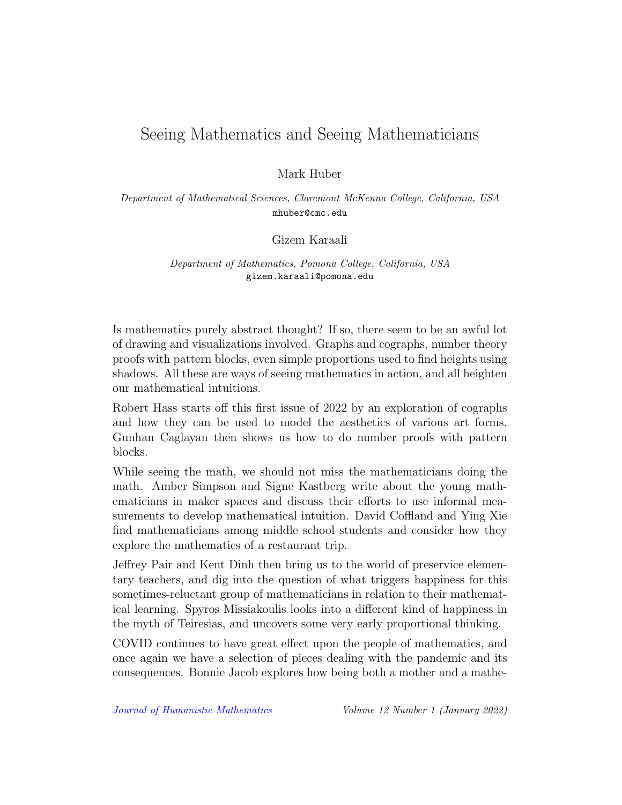## Seeing Mathematics and Seeing Mathematicians

Mark Huber

Department of Mathematical Sciences, Claremont McKenna College, California, USA mhuber@cmc.edu

Gizem Karaali

Department of Mathematics, Pomona College, California, USA gizem.karaali@pomona.edu

Is mathematics purely abstract thought? If so, there seem to be an awful lot of drawing and visualizations involved. Graphs and cographs, number theory proofs with pattern blocks, even simple proportions used to find heights using shadows. All these are ways of seeing mathematics in action, and all heighten our mathematical intuitions.

Robert Hass starts off this first issue of 2022 by an exploration of cographs and how they can be used to model the aesthetics of various art forms. Gunhan Caglayan then shows us how to do number proofs with pattern blocks.

While seeing the math, we should not miss the mathematicians doing the math. Amber Simpson and Signe Kastberg write about the young mathematicians in maker spaces and discuss their efforts to use informal measurements to develop mathematical intuition. David Coffland and Ying Xie find mathematicians among middle school students and consider how they explore the mathematics of a restaurant trip.

Jeffrey Pair and Kent Dinh then bring us to the world of preservice elementary teachers, and dig into the question of what triggers happiness for this sometimes-reluctant group of mathematicians in relation to their mathematical learning. Spyros Missiakoulis looks into a different kind of happiness in the myth of Teiresias, and uncovers some very early proportional thinking.

COVID continues to have great effect upon the people of mathematics, and once again we have a selection of pieces dealing with the pandemic and its consequences. Bonnie Jacob explores how being both a mother and a mathe-

[Journal of Humanistic Mathematics](http://scholarship.claremont.edu/jhm/) Volume 12 Number 1 (January 2022)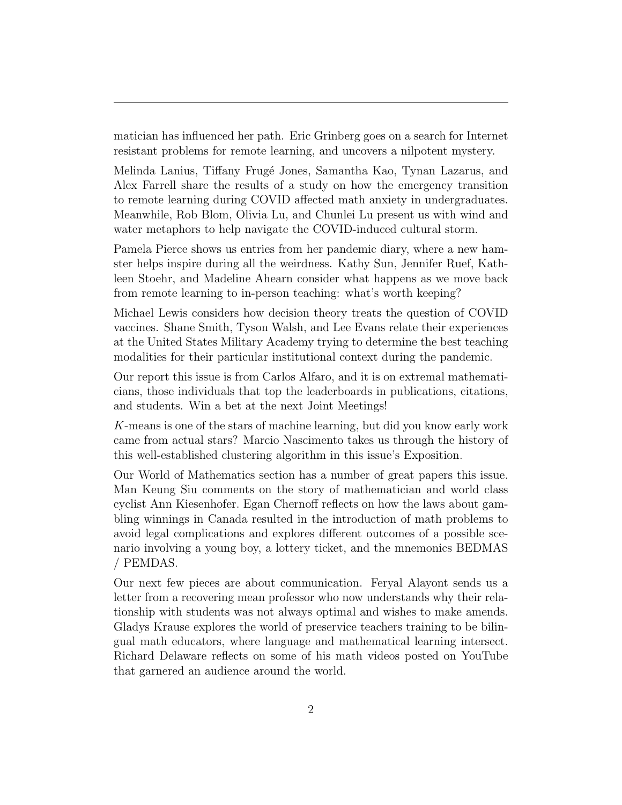matician has influenced her path. Eric Grinberg goes on a search for Internet resistant problems for remote learning, and uncovers a nilpotent mystery.

Melinda Lanius, Tiffany Frug´e Jones, Samantha Kao, Tynan Lazarus, and Alex Farrell share the results of a study on how the emergency transition to remote learning during COVID affected math anxiety in undergraduates. Meanwhile, Rob Blom, Olivia Lu, and Chunlei Lu present us with wind and water metaphors to help navigate the COVID-induced cultural storm.

Pamela Pierce shows us entries from her pandemic diary, where a new hamster helps inspire during all the weirdness. Kathy Sun, Jennifer Ruef, Kathleen Stoehr, and Madeline Ahearn consider what happens as we move back from remote learning to in-person teaching: what's worth keeping?

Michael Lewis considers how decision theory treats the question of COVID vaccines. Shane Smith, Tyson Walsh, and Lee Evans relate their experiences at the United States Military Academy trying to determine the best teaching modalities for their particular institutional context during the pandemic.

Our report this issue is from Carlos Alfaro, and it is on extremal mathematicians, those individuals that top the leaderboards in publications, citations, and students. Win a bet at the next Joint Meetings!

K-means is one of the stars of machine learning, but did you know early work came from actual stars? Marcio Nascimento takes us through the history of this well-established clustering algorithm in this issue's Exposition.

Our World of Mathematics section has a number of great papers this issue. Man Keung Siu comments on the story of mathematician and world class cyclist Ann Kiesenhofer. Egan Chernoff reflects on how the laws about gambling winnings in Canada resulted in the introduction of math problems to avoid legal complications and explores different outcomes of a possible scenario involving a young boy, a lottery ticket, and the mnemonics BEDMAS / PEMDAS.

Our next few pieces are about communication. Feryal Alayont sends us a letter from a recovering mean professor who now understands why their relationship with students was not always optimal and wishes to make amends. Gladys Krause explores the world of preservice teachers training to be bilingual math educators, where language and mathematical learning intersect. Richard Delaware reflects on some of his math videos posted on YouTube that garnered an audience around the world.